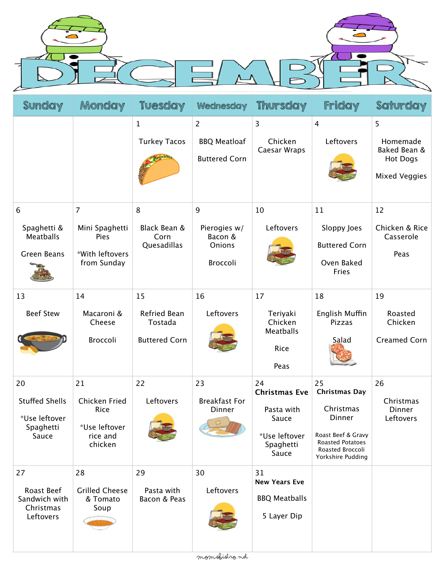

| Sunday                                                             | <b>Monday</b>                                                              | Tuesday                                                      | Wednesday                                                     | Thursday                                                                                 | Friday                                                                                                                                      | Saturday                                                          |
|--------------------------------------------------------------------|----------------------------------------------------------------------------|--------------------------------------------------------------|---------------------------------------------------------------|------------------------------------------------------------------------------------------|---------------------------------------------------------------------------------------------------------------------------------------------|-------------------------------------------------------------------|
|                                                                    |                                                                            | 1<br><b>Turkey Tacos</b>                                     | $\overline{c}$<br><b>BBQ Meatloaf</b><br><b>Buttered Corn</b> | $\overline{3}$<br>Chicken<br>Caesar Wraps                                                | $\overline{4}$<br>Leftovers                                                                                                                 | 5<br>Homemade<br>Baked Bean &<br><b>Hot Dogs</b><br>Mixed Veggies |
| $6\phantom{1}6$<br>Spaghetti &<br>Meatballs<br>Green Beans         | $\overline{7}$<br>Mini Spaghetti<br>Pies<br>*With leftovers<br>from Sunday | 8<br>Black Bean &<br>Corn<br>Quesadillas                     | 9<br>Pierogies w/<br>Bacon &<br>Onions<br>Broccoli            | 10<br>Leftovers                                                                          | 11<br>Sloppy Joes<br><b>Buttered Corn</b><br>Oven Baked<br>Fries                                                                            | 12<br>Chicken & Rice<br>Casserole<br>Peas                         |
| 13<br><b>Beef Stew</b>                                             | 14<br>Macaroni &<br>Cheese<br>Broccoli                                     | 15<br><b>Refried Bean</b><br>Tostada<br><b>Buttered Corn</b> | 16<br>Leftovers                                               | 17<br>Teriyaki<br>Chicken<br>Meatballs<br>Rice<br>Peas                                   | 18<br>English Muffin<br>Pizzas<br>Salad                                                                                                     | 19<br>Roasted<br>Chicken<br><b>Creamed Corn</b>                   |
| 20<br><b>Stuffed Shells</b><br>*Use leftover<br>Spaghetti<br>Sauce | 21<br><b>Chicken Fried</b><br>Rice<br>*Use leftover<br>rice and<br>chicken | 22<br>Leftovers                                              | 23<br><b>Breakfast For</b><br>Dinner                          | 24<br><b>Christmas Eve</b><br>Pasta with<br>Sauce<br>*Use leftover<br>Spaghetti<br>Sauce | 25<br><b>Christmas Day</b><br>Christmas<br>Dinner<br>Roast Beef & Gravy<br><b>Roasted Potatoes</b><br>Roasted Broccoli<br>Yorkshire Pudding | 26<br>Christmas<br>Dinner<br>Leftovers                            |
| 27<br>Roast Beef<br>Sandwich with<br>Christmas<br>Leftovers        | 28<br><b>Grilled Cheese</b><br>& Tomato<br>Soup                            | 29<br>Pasta with<br>Bacon & Peas                             | 30<br>Leftovers                                               | 31<br><b>New Years Eve</b><br><b>BBQ Meatballs</b><br>5 Layer Dip                        |                                                                                                                                             |                                                                   |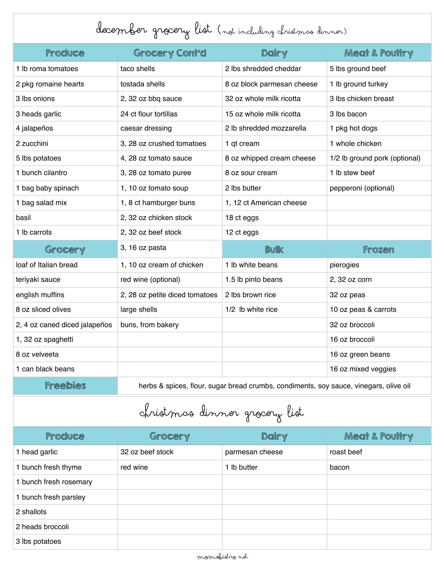## december grocery list (not including christmas dinner)

| Produce                       | <b>Grocery Cont'd</b>                                                                 | <b>Dairy</b>               | <b>Meat &amp; Poultry</b>     |  |
|-------------------------------|---------------------------------------------------------------------------------------|----------------------------|-------------------------------|--|
| 1 lb roma tomatoes            | taco shells                                                                           | 2 lbs shredded cheddar     | 5 lbs ground beef             |  |
| 2 pkg romaine hearts          | tostada shells                                                                        | 8 oz block parmesan cheese | 1 lb ground turkey            |  |
| 3 lbs onions                  | 2, 32 oz bbq sauce                                                                    | 32 oz whole milk ricotta   | 3 lbs chicken breast          |  |
| 3 heads garlic                | 24 ct flour tortillas                                                                 | 15 oz whole milk ricotta   | 3 lbs bacon                   |  |
| 4 jalapeños                   | caesar dressing                                                                       | 2 lb shredded mozzarella   | 1 pkg hot dogs                |  |
| 2 zucchini                    | 3, 28 oz crushed tomatoes                                                             | 1 qt cream                 | 1 whole chicken               |  |
| 5 lbs potatoes                | 4, 28 oz tomato sauce                                                                 | 8 oz whipped cream cheese  | 1/2 lb ground pork (optional) |  |
| 1 bunch cilantro              | 3, 28 oz tomato puree                                                                 | 8 oz sour cream            | 1 lb stew beef                |  |
| 1 bag baby spinach            | 1, 10 oz tomato soup                                                                  | 2 lbs butter               | pepperoni (optional)          |  |
| 1 bag salad mix               | 1, 8 ct hamburger buns                                                                | 1, 12 ct American cheese   |                               |  |
| basil                         | 2, 32 oz chicken stock                                                                | 18 ct eggs                 |                               |  |
| 1 lb carrots                  | 2, 32 oz beef stock                                                                   | 12 ct eggs                 |                               |  |
| Grocery                       | 3, 16 oz pasta                                                                        | <b>Bulk</b>                | Frozen                        |  |
| loaf of Italian bread         | 1, 10 oz cream of chicken                                                             | 1 lb white beans           | pierogies                     |  |
| teriyaki sauce                | red wine (optional)                                                                   | 1.5 lb pinto beans         | 2, 32 oz corn                 |  |
| english muffins               | 2, 28 oz petite diced tomatoes                                                        | 2 lbs brown rice           | 32 oz peas                    |  |
| 8 oz sliced olives            | large shells                                                                          | 1/2 lb white rice          | 10 oz peas & carrots          |  |
| 2, 4 oz caned diced jalapeños | buns, from bakery                                                                     |                            | 32 oz broccoli                |  |
| 1, 32 oz spaghetti            |                                                                                       |                            | 16 oz broccoli                |  |
| 8 oz velveeta                 |                                                                                       |                            | 16 oz green beans             |  |
| 1 can black beans             |                                                                                       |                            | 16 oz mixed veggies           |  |
| <b>Freebies</b>               | herbs & spices, flour, sugar bread crumbs, condiments, soy sauce, vinegars, olive oil |                            |                               |  |

| christmas dinner grocery list |  |  |  |
|-------------------------------|--|--|--|
|-------------------------------|--|--|--|

| Produce                | Grocery          | Dairy           | Meat & Poultry |
|------------------------|------------------|-----------------|----------------|
| 1 head garlic          | 32 oz beef stock | parmesan cheese | roast beef     |
| 1 bunch fresh thyme    | red wine         | 1 lb butter     | bacon          |
| 1 bunch fresh rosemary |                  |                 |                |
| 1 bunch fresh parsley  |                  |                 |                |
| 2 shallots             |                  |                 |                |
| 2 heads broccoli       |                  |                 |                |
| 3 lbs potatoes         |                  |                 |                |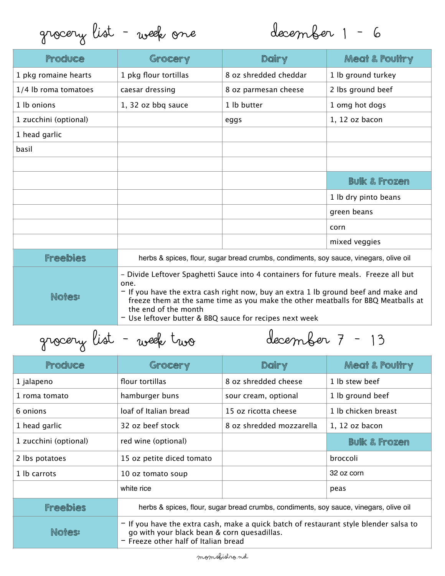| grocery list - week one |  |  |  |  |
|-------------------------|--|--|--|--|
|-------------------------|--|--|--|--|

e december 1 - 6

| Produce               | Grocery                                                                                                                                                                                                                                                                                                                                                    | Dairy                 | <b>Meat &amp; Poultry</b> |  |
|-----------------------|------------------------------------------------------------------------------------------------------------------------------------------------------------------------------------------------------------------------------------------------------------------------------------------------------------------------------------------------------------|-----------------------|---------------------------|--|
| 1 pkg romaine hearts  | 1 pkg flour tortillas                                                                                                                                                                                                                                                                                                                                      | 8 oz shredded cheddar | 1 lb ground turkey        |  |
| 1/4 lb roma tomatoes  | caesar dressing                                                                                                                                                                                                                                                                                                                                            | 8 oz parmesan cheese  | 2 lbs ground beef         |  |
| 1 lb onions           | 1, 32 oz bbq sauce                                                                                                                                                                                                                                                                                                                                         | 1 lb butter           | 1 omg hot dogs            |  |
| 1 zucchini (optional) |                                                                                                                                                                                                                                                                                                                                                            | eggs                  | $1, 12$ oz bacon          |  |
| 1 head garlic         |                                                                                                                                                                                                                                                                                                                                                            |                       |                           |  |
| basil                 |                                                                                                                                                                                                                                                                                                                                                            |                       |                           |  |
|                       |                                                                                                                                                                                                                                                                                                                                                            |                       |                           |  |
|                       |                                                                                                                                                                                                                                                                                                                                                            |                       | <b>Bulk &amp; Frozen</b>  |  |
|                       |                                                                                                                                                                                                                                                                                                                                                            |                       | 1 lb dry pinto beans      |  |
|                       |                                                                                                                                                                                                                                                                                                                                                            |                       | green beans               |  |
|                       | corn                                                                                                                                                                                                                                                                                                                                                       |                       |                           |  |
|                       |                                                                                                                                                                                                                                                                                                                                                            |                       | mixed veggies             |  |
| <b>Freebies</b>       | herbs & spices, flour, sugar bread crumbs, condiments, soy sauce, vinegars, olive oil                                                                                                                                                                                                                                                                      |                       |                           |  |
| Notes:                | - Divide Leftover Spaghetti Sauce into 4 containers for future meals. Freeze all but<br>one.<br>- If you have the extra cash right now, buy an extra 1 lb ground beef and make and<br>freeze them at the same time as you make the other meatballs for BBQ Meatballs at<br>the end of the month<br>- Use leftover butter & BBQ sauce for recipes next week |                       |                           |  |

grocery list - week two December 7 - 13

| <b>Produce</b>        | Grocery                                                                                                                                                                      | <b>Dairy</b>             | <b>Meat &amp; Poultry</b> |  |
|-----------------------|------------------------------------------------------------------------------------------------------------------------------------------------------------------------------|--------------------------|---------------------------|--|
| 1 jalapeno            | flour tortillas                                                                                                                                                              | 8 oz shredded cheese     | 1 lb stew beef            |  |
| 1 roma tomato         | hamburger buns                                                                                                                                                               | sour cream, optional     | 1 lb ground beef          |  |
| 6 onions              | loaf of Italian bread                                                                                                                                                        | 15 oz ricotta cheese     | 1 lb chicken breast       |  |
| 1 head garlic         | 32 oz beef stock                                                                                                                                                             | 8 oz shredded mozzarella | $1, 12$ oz bacon          |  |
| 1 zucchini (optional) | red wine (optional)                                                                                                                                                          |                          | <b>Bulk &amp; Frozen</b>  |  |
| 2 lbs potatoes        | 15 oz petite diced tomato                                                                                                                                                    |                          | broccoli                  |  |
| 1 lb carrots          | 10 oz tomato soup                                                                                                                                                            |                          | 32 oz corn                |  |
|                       | white rice                                                                                                                                                                   |                          | peas                      |  |
| <b>Freebies</b>       | herbs & spices, flour, sugar bread crumbs, condiments, soy sauce, vinegars, olive oil                                                                                        |                          |                           |  |
| Notes:                | - If you have the extra cash, make a quick batch of restaurant style blender salsa to<br>go with your black bean & corn quesadillas.<br>- Freeze other half of Italian bread |                          |                           |  |